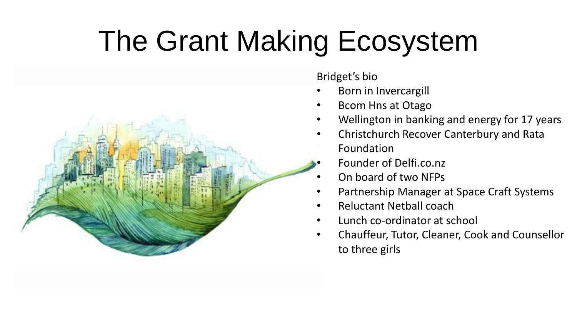### The Grant Making Ecosystem



Bridget's bio

- Born in Invercargill
- Bcom Hns at Otago
- Wellington in banking and energy for 17 years
- Christchurch Recover Canterbury and Rata Foundation
- Founder of Delfi.co.nz
- On board of two NFPs
- Partnership Manager at Space Craft Systems
- Reluctant Netball coach
- Lunch co-ordinator at school
- Chauffeur, Tutor, Cleaner, Cook and Counsellor to three girls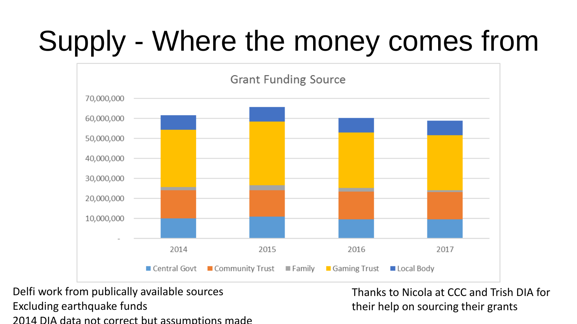# Supply - Where the money comes from



Delfi work from publically available sources Excluding earthquake funds 2014 DIA data not correct but assumptions made

Thanks to Nicola at CCC and Trish DIA for their help on sourcing their grants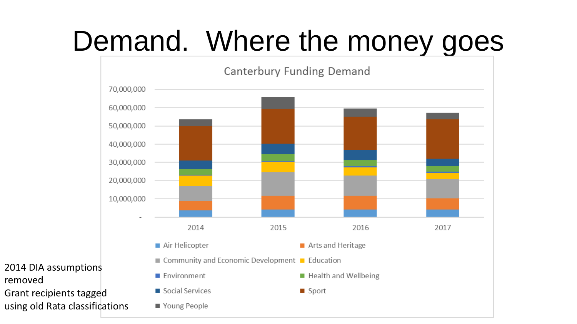### Demand. Where the money goes



removed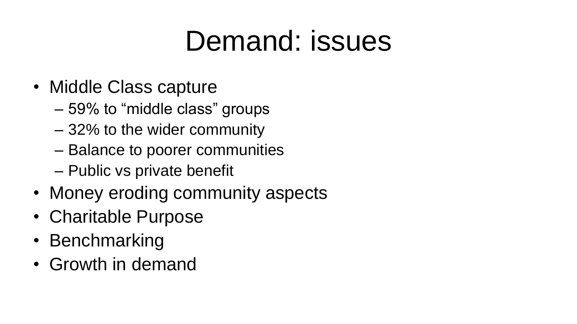### Demand: issues

- Middle Class capture
	- 59% to "middle class" groups
	- 32% to the wider community
	- Balance to poorer communities
	- Public vs private benefit
- Money eroding community aspects
- Charitable Purpose
- Benchmarking
- Growth in demand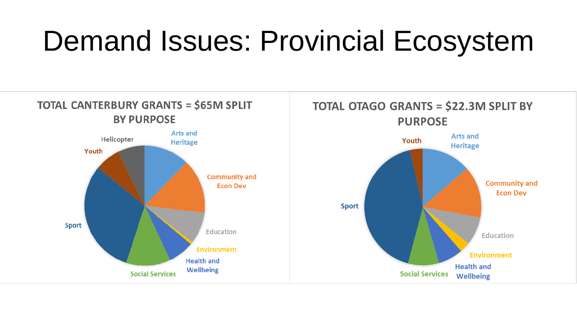### Demand Issues: Provincial Ecosystem

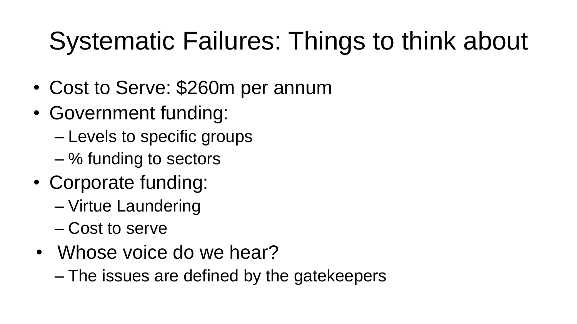#### Systematic Failures: Things to think about

- Cost to Serve: \$260m per annum
- Government funding:
	- Levels to specific groups
	- % funding to sectors
- Corporate funding:
	- Virtue Laundering
	- Cost to serve
- Whose voice do we hear?
	- The issues are defined by the gatekeepers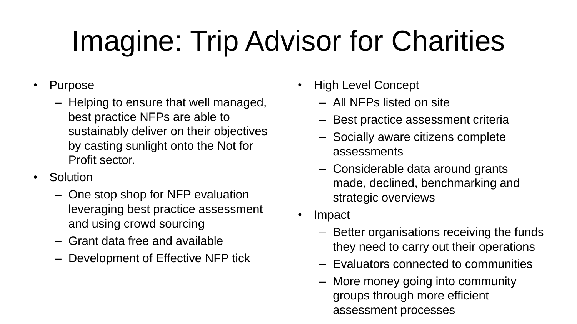# Imagine: Trip Advisor for Charities

- Purpose
	- Helping to ensure that well managed, best practice NFPs are able to sustainably deliver on their objectives by casting sunlight onto the Not for Profit sector.
- Solution
	- One stop shop for NFP evaluation leveraging best practice assessment and using crowd sourcing
	- Grant data free and available
	- Development of Effective NFP tick
- High Level Concept
	- All NFPs listed on site
	- Best practice assessment criteria
	- Socially aware citizens complete assessments
	- Considerable data around grants made, declined, benchmarking and strategic overviews
- Impact
	- Better organisations receiving the funds they need to carry out their operations
	- Evaluators connected to communities
	- More money going into community groups through more efficient assessment processes